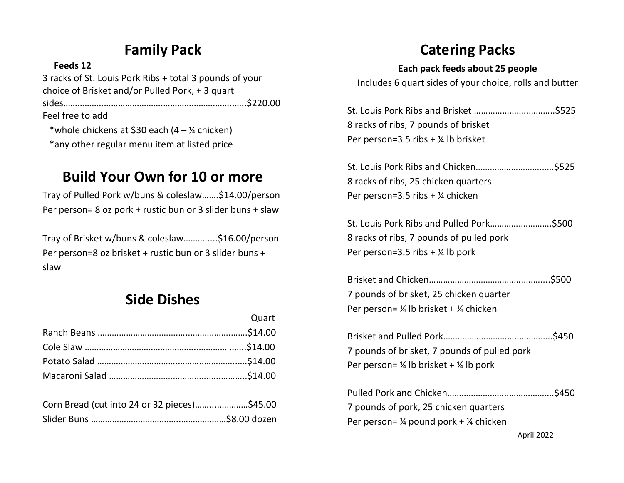## **Family Pack**

#### **Feeds 12**

3 racks of St. Louis Pork Ribs + total 3 pounds of your choice of Brisket and/or Pulled Pork, + 3 quart sides……………..…………………….………………….……..…..\$220.00 Feel free to add \*whole chickens at \$30 each  $(4 - \frac{1}{4})$  chicken) \*any other regular menu item at listed price

#### **Build Your Own for 10 or more**

Tray of Pulled Pork w/buns & coleslaw…….\$14.00/person Per person= 8 oz pork + rustic bun or 3 slider buns + slaw

Tray of Brisket w/buns & coleslaw……….....\$16.00/person Per person=8 oz brisket + rustic bun or 3 slider buns + slaw

#### **Side Dishes**

| Quart |
|-------|
|       |
|       |
|       |
|       |
|       |

| Corn Bread (cut into 24 or 32 pieces)\$45.00 |  |
|----------------------------------------------|--|
|                                              |  |

## **Catering Packs**

#### **Each pack feeds about 25 people**

Includes 6 quart sides of your choice, rolls and butter

| 8 racks of ribs, 7 pounds of brisket |  |
|--------------------------------------|--|
| Per person=3.5 ribs $+$ ¼ lb brisket |  |

St. Louis Pork Ribs and Chicken………………………..….\$525 8 racks of ribs, 25 chicken quarters Per person=3.5 ribs + ¼ chicken

St. Louis Pork Ribs and Pulled Pork…………….……….\$500 8 racks of ribs, 7 pounds of pulled pork Per person=3.5 ribs  $+$  ¼ lb pork

| 7 pounds of brisket, 25 chicken quarter |  |
|-----------------------------------------|--|
| Per person= ¼ lb brisket + ¼ chicken    |  |

| 7 pounds of brisket, 7 pounds of pulled pork                 |  |
|--------------------------------------------------------------|--|
| Per person= $\frac{1}{4}$ lb brisket + $\frac{1}{4}$ lb pork |  |

| 7 pounds of pork, 25 chicken quarters                        |  |
|--------------------------------------------------------------|--|
| Per person= $\frac{1}{4}$ pound pork + $\frac{1}{4}$ chicken |  |